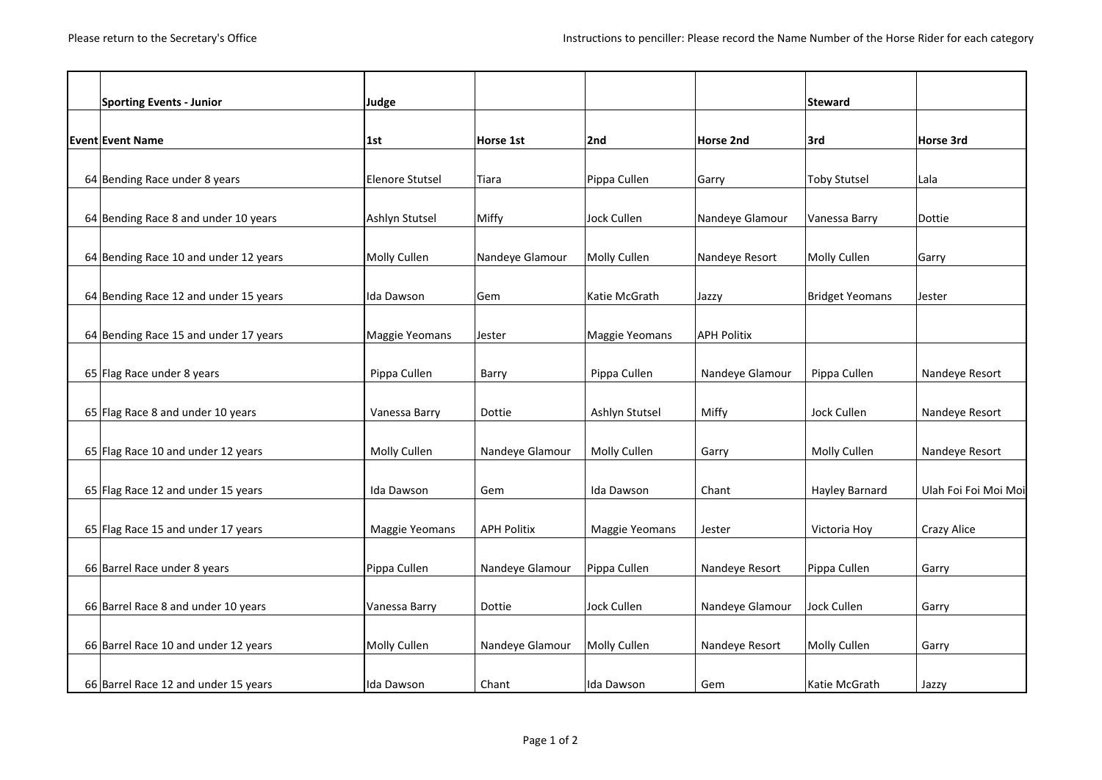| <b>Sporting Events - Junior</b>       | Judge                  |                    |                    |                    | <b>Steward</b>         |                      |
|---------------------------------------|------------------------|--------------------|--------------------|--------------------|------------------------|----------------------|
|                                       |                        |                    |                    |                    |                        |                      |
| <b>Event Event Name</b>               | 1st                    | Horse 1st          | 2nd                | <b>Horse 2nd</b>   | 3rd                    | Horse 3rd            |
|                                       |                        |                    |                    |                    |                        |                      |
| 64 Bending Race under 8 years         | <b>Elenore Stutsel</b> | Tiara              | Pippa Cullen       | Garry              | <b>Toby Stutsel</b>    | Lala                 |
| 64 Bending Race 8 and under 10 years  | Ashlyn Stutsel         | Miffy              | <b>Jock Cullen</b> | Nandeye Glamour    | Vanessa Barry          | Dottie               |
| 64 Bending Race 10 and under 12 years | Molly Cullen           | Nandeye Glamour    | Molly Cullen       | Nandeye Resort     | Molly Cullen           | Garry                |
| 64 Bending Race 12 and under 15 years | Ida Dawson             | Gem                | Katie McGrath      | Jazzy              | <b>Bridget Yeomans</b> | Jester               |
| 64 Bending Race 15 and under 17 years | Maggie Yeomans         | Jester             | Maggie Yeomans     | <b>APH Politix</b> |                        |                      |
|                                       |                        |                    |                    |                    |                        |                      |
| 65 Flag Race under 8 years            | Pippa Cullen           | Barry              | Pippa Cullen       | Nandeye Glamour    | Pippa Cullen           | Nandeye Resort       |
| 65 Flag Race 8 and under 10 years     | Vanessa Barry          | Dottie             | Ashlyn Stutsel     | Miffy              | Jock Cullen            | Nandeye Resort       |
| 65 Flag Race 10 and under 12 years    | Molly Cullen           | Nandeye Glamour    | Molly Cullen       | Garry              | Molly Cullen           | Nandeye Resort       |
| 65 Flag Race 12 and under 15 years    | Ida Dawson             | Gem                | <b>Ida Dawson</b>  | Chant              | Hayley Barnard         | Ulah Foi Foi Moi Moi |
| 65 Flag Race 15 and under 17 years    | Maggie Yeomans         | <b>APH Politix</b> | Maggie Yeomans     | Jester             | Victoria Hoy           | Crazy Alice          |
| 66 Barrel Race under 8 years          | Pippa Cullen           | Nandeye Glamour    | Pippa Cullen       | Nandeye Resort     | Pippa Cullen           | Garry                |
| 66 Barrel Race 8 and under 10 years   | Vanessa Barry          | Dottie             | <b>Jock Cullen</b> | Nandeye Glamour    | <b>Jock Cullen</b>     | Garry                |
| 66 Barrel Race 10 and under 12 years  | Molly Cullen           | Nandeye Glamour    | Molly Cullen       | Nandeye Resort     | Molly Cullen           | Garry                |
| 66 Barrel Race 12 and under 15 years  | Ida Dawson             | Chant              | Ida Dawson         | Gem                | Katie McGrath          | Jazzy                |